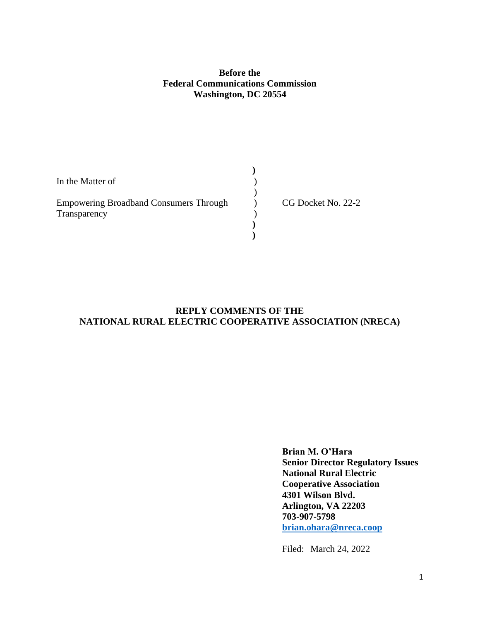## **Before the Federal Communications Commission Washington, DC 20554**

| In the Matter of                              |                    |
|-----------------------------------------------|--------------------|
|                                               |                    |
| <b>Empowering Broadband Consumers Through</b> | CG Docket No. 22-2 |
| Transparency                                  |                    |
|                                               |                    |
|                                               |                    |

# **REPLY COMMENTS OF THE NATIONAL RURAL ELECTRIC COOPERATIVE ASSOCIATION (NRECA)**

**Brian M. O'Hara Senior Director Regulatory Issues National Rural Electric Cooperative Association 4301 Wilson Blvd. Arlington, VA 22203 703-907-5798 [brian.ohara@nreca.coop](mailto:brian.ohara@nreca.coop)**

Filed: March 24, 2022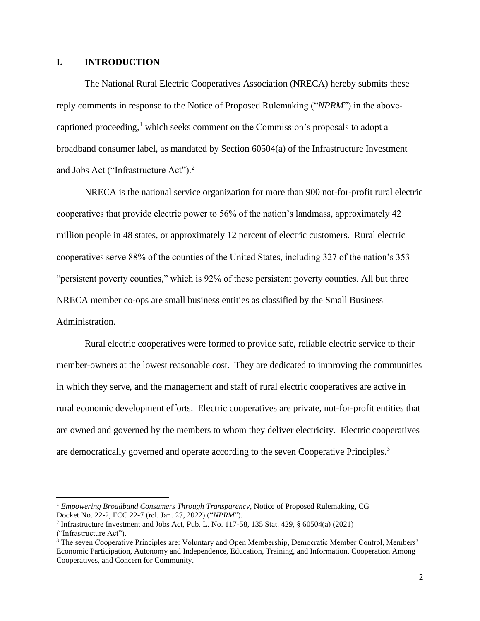## **I. INTRODUCTION**

The National Rural Electric Cooperatives Association (NRECA) hereby submits these reply comments in response to the Notice of Proposed Rulemaking ("*NPRM*") in the abovecaptioned proceeding,<sup>1</sup> which seeks comment on the Commission's proposals to adopt a broadband consumer label, as mandated by Section 60504(a) of the Infrastructure Investment and Jobs Act ("Infrastructure Act").<sup>2</sup>

NRECA is the national service organization for more than 900 not-for-profit rural electric cooperatives that provide electric power to 56% of the nation's landmass, approximately 42 million people in 48 states, or approximately 12 percent of electric customers. Rural electric cooperatives serve 88% of the counties of the United States, including 327 of the nation's 353 "persistent poverty counties," which is 92% of these persistent poverty counties. All but three NRECA member co-ops are small business entities as classified by the Small Business Administration.

Rural electric cooperatives were formed to provide safe, reliable electric service to their member-owners at the lowest reasonable cost. They are dedicated to improving the communities in which they serve, and the management and staff of rural electric cooperatives are active in rural economic development efforts. Electric cooperatives are private, not-for-profit entities that are owned and governed by the members to whom they deliver electricity. Electric cooperatives are democratically governed and operate according to the seven Cooperative Principles.<sup>3</sup>

<sup>1</sup> *Empowering Broadband Consumers Through Transparency*, Notice of Proposed Rulemaking, CG Docket No. 22-2, FCC 22-7 (rel. Jan. 27, 2022) ("*NPRM*").

<sup>2</sup> Infrastructure Investment and Jobs Act, Pub. L. No. 117-58, 135 Stat. 429, § 60504(a) (2021) ("Infrastructure Act").

<sup>&</sup>lt;sup>3</sup> The seven Cooperative Principles are: Voluntary and Open Membership, Democratic Member Control, Members' Economic Participation, Autonomy and Independence, Education, Training, and Information, Cooperation Among Cooperatives, and Concern for Community.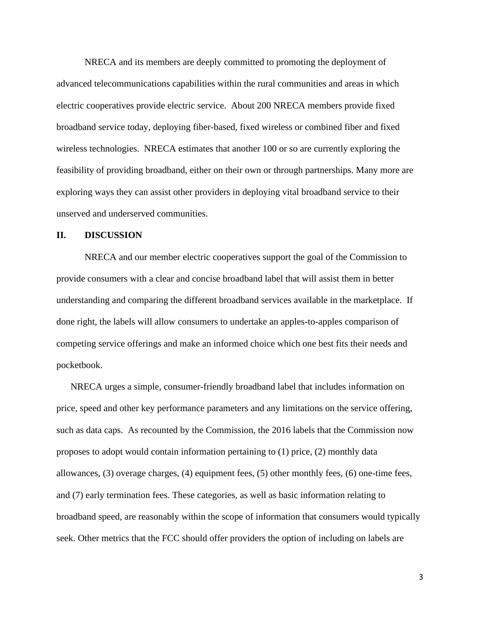NRECA and its members are deeply committed to promoting the deployment of advanced telecommunications capabilities within the rural communities and areas in which electric cooperatives provide electric service. About 200 NRECA members provide fixed broadband service today, deploying fiber-based, fixed wireless or combined fiber and fixed wireless technologies. NRECA estimates that another 100 or so are currently exploring the feasibility of providing broadband, either on their own or through partnerships. Many more are exploring ways they can assist other providers in deploying vital broadband service to their unserved and underserved communities.

### **II. DISCUSSION**

NRECA and our member electric cooperatives support the goal of the Commission to provide consumers with a clear and concise broadband label that will assist them in better understanding and comparing the different broadband services available in the marketplace. If done right, the labels will allow consumers to undertake an apples-to-apples comparison of competing service offerings and make an informed choice which one best fits their needs and pocketbook.

NRECA urges a simple, consumer-friendly broadband label that includes information on price, speed and other key performance parameters and any limitations on the service offering, such as data caps. As recounted by the Commission, the 2016 labels that the Commission now proposes to adopt would contain information pertaining to (1) price, (2) monthly data allowances, (3) overage charges, (4) equipment fees, (5) other monthly fees, (6) one-time fees, and (7) early termination fees. These categories, as well as basic information relating to broadband speed, are reasonably within the scope of information that consumers would typically seek. Other metrics that the FCC should offer providers the option of including on labels are

3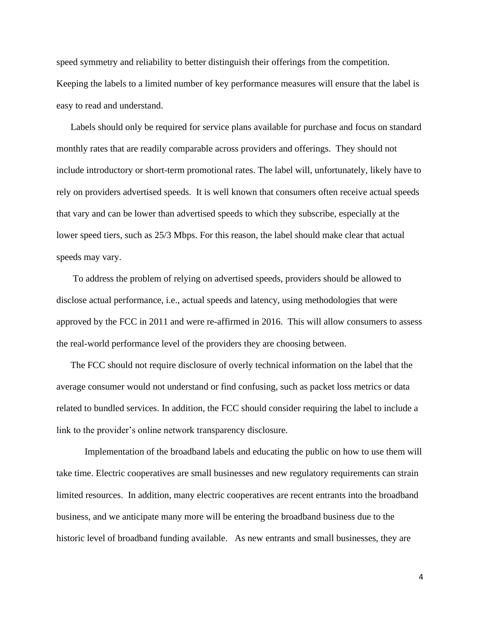speed symmetry and reliability to better distinguish their offerings from the competition. Keeping the labels to a limited number of key performance measures will ensure that the label is easy to read and understand.

Labels should only be required for service plans available for purchase and focus on standard monthly rates that are readily comparable across providers and offerings. They should not include introductory or short-term promotional rates. The label will, unfortunately, likely have to rely on providers advertised speeds. It is well known that consumers often receive actual speeds that vary and can be lower than advertised speeds to which they subscribe, especially at the lower speed tiers, such as 25/3 Mbps. For this reason, the label should make clear that actual speeds may vary.

To address the problem of relying on advertised speeds, providers should be allowed to disclose actual performance, i.e., actual speeds and latency, using methodologies that were approved by the FCC in 2011 and were re-affirmed in 2016. This will allow consumers to assess the real-world performance level of the providers they are choosing between.

The FCC should not require disclosure of overly technical information on the label that the average consumer would not understand or find confusing, such as packet loss metrics or data related to bundled services. In addition, the FCC should consider requiring the label to include a link to the provider's online network transparency disclosure.

Implementation of the broadband labels and educating the public on how to use them will take time. Electric cooperatives are small businesses and new regulatory requirements can strain limited resources. In addition, many electric cooperatives are recent entrants into the broadband business, and we anticipate many more will be entering the broadband business due to the historic level of broadband funding available. As new entrants and small businesses, they are

4